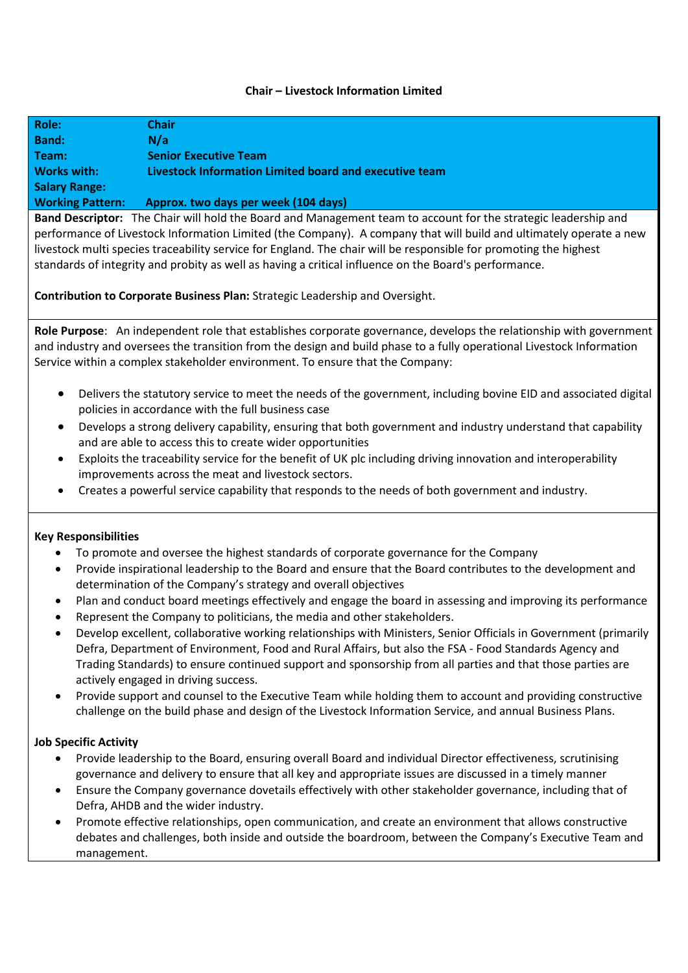## **Chair – Livestock Information Limited**

| Role:                   | <b>Chair</b>                                           |
|-------------------------|--------------------------------------------------------|
| <b>Band:</b>            | N/a                                                    |
| Team:                   | <b>Senior Executive Team</b>                           |
| <b>Works with:</b>      | Livestock Information Limited board and executive team |
| <b>Salary Range:</b>    |                                                        |
| <b>Working Pattern:</b> | Approx. two days per week (104 days)                   |

**Band Descriptor:** The Chair will hold the Board and Management team to account for the strategic leadership and performance of Livestock Information Limited (the Company). A company that will build and ultimately operate a new livestock multi species traceability service for England. The chair will be responsible for promoting the highest standards of integrity and probity as well as having a critical influence on the Board's performance.

**Contribution to Corporate Business Plan:** Strategic Leadership and Oversight.

**Role Purpose**: An independent role that establishes corporate governance, develops the relationship with government and industry and oversees the transition from the design and build phase to a fully operational Livestock Information Service within a complex stakeholder environment. To ensure that the Company:

- Delivers the statutory service to meet the needs of the government, including bovine EID and associated digital policies in accordance with the full business case
- Develops a strong delivery capability, ensuring that both government and industry understand that capability and are able to access this to create wider opportunities
- Exploits the traceability service for the benefit of UK plc including driving innovation and interoperability improvements across the meat and livestock sectors.
- Creates a powerful service capability that responds to the needs of both government and industry.

## **Key Responsibilities**

- To promote and oversee the highest standards of corporate governance for the Company
- Provide inspirational leadership to the Board and ensure that the Board contributes to the development and determination of the Company's strategy and overall objectives
- Plan and conduct board meetings effectively and engage the board in assessing and improving its performance
- Represent the Company to politicians, the media and other stakeholders.
- Develop excellent, collaborative working relationships with Ministers, Senior Officials in Government (primarily Defra, Department of Environment, Food and Rural Affairs, but also the FSA - Food Standards Agency and Trading Standards) to ensure continued support and sponsorship from all parties and that those parties are actively engaged in driving success.
- Provide support and counsel to the Executive Team while holding them to account and providing constructive challenge on the build phase and design of the Livestock Information Service, and annual Business Plans.

## **Job Specific Activity**

- Provide leadership to the Board, ensuring overall Board and individual Director effectiveness, scrutinising governance and delivery to ensure that all key and appropriate issues are discussed in a timely manner
- Ensure the Company governance dovetails effectively with other stakeholder governance, including that of Defra, AHDB and the wider industry.
- Promote effective relationships, open communication, and create an environment that allows constructive debates and challenges, both inside and outside the boardroom, between the Company's Executive Team and management.